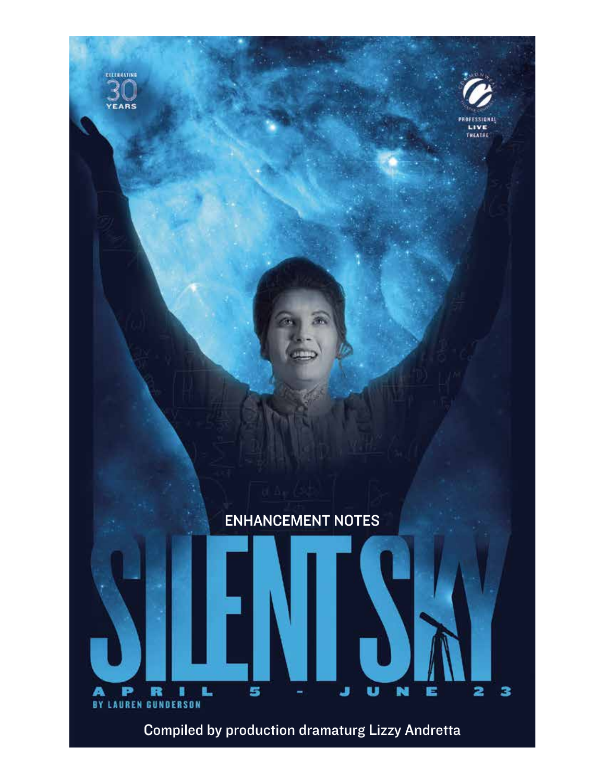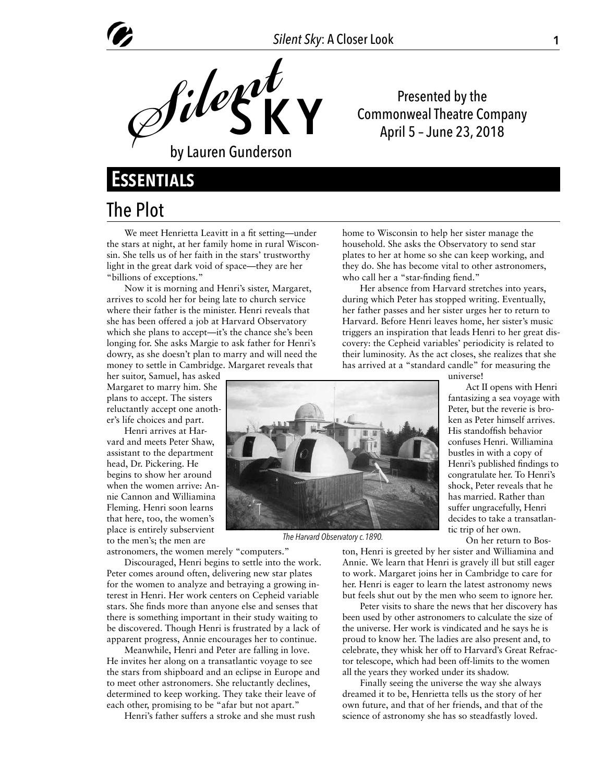

Presented by the Commonweal Theatre Company April 5 – June 23, 2018

## **Essentials**

#### The Plot

We meet Henrietta Leavitt in a fit setting—under the stars at night, at her family home in rural Wisconsin. She tells us of her faith in the stars' trustworthy light in the great dark void of space—they are her "billions of exceptions."

Now it is morning and Henri's sister, Margaret, arrives to scold her for being late to church service where their father is the minister. Henri reveals that she has been offered a job at Harvard Observatory which she plans to accept—it's the chance she's been longing for. She asks Margie to ask father for Henri's dowry, as she doesn't plan to marry and will need the money to settle in Cambridge. Margaret reveals that

her suitor, Samuel, has asked Margaret to marry him. She plans to accept. The sisters reluctantly accept one another's life choices and part.

Henri arrives at Harvard and meets Peter Shaw, assistant to the department head, Dr. Pickering. He begins to show her around when the women arrive: Annie Cannon and Williamina Fleming. Henri soon learns that here, too, the women's place is entirely subservient to the men's; the men are

astronomers, the women merely "computers."

Discouraged, Henri begins to settle into the work. Peter comes around often, delivering new star plates for the women to analyze and betraying a growing interest in Henri. Her work centers on Cepheid variable stars. She finds more than anyone else and senses that there is something important in their study waiting to be discovered. Though Henri is frustrated by a lack of apparent progress, Annie encourages her to continue.

Meanwhile, Henri and Peter are falling in love. He invites her along on a transatlantic voyage to see the stars from shipboard and an eclipse in Europe and to meet other astronomers. She reluctantly declines, determined to keep working. They take their leave of each other, promising to be "afar but not apart."

Henri's father suffers a stroke and she must rush

home to Wisconsin to help her sister manage the household. She asks the Observatory to send star plates to her at home so she can keep working, and they do. She has become vital to other astronomers, who call her a "star-finding fiend."

Her absence from Harvard stretches into years, during which Peter has stopped writing. Eventually, her father passes and her sister urges her to return to Harvard. Before Henri leaves home, her sister's music triggers an inspiration that leads Henri to her great discovery: the Cepheid variables' periodicity is related to their luminosity. As the act closes, she realizes that she has arrived at a "standard candle" for measuring the



*The Harvard Observatory c.1890.*

His standoffish behavior

universe!

confuses Henri. Williamina bustles in with a copy of Henri's published findings to congratulate her. To Henri's shock, Peter reveals that he has married. Rather than suffer ungracefully, Henri decides to take a transatlantic trip of her own.

Act II opens with Henri fantasizing a sea voyage with Peter, but the reverie is broken as Peter himself arrives.

On her return to Bos-

ton, Henri is greeted by her sister and Williamina and Annie. We learn that Henri is gravely ill but still eager to work. Margaret joins her in Cambridge to care for her. Henri is eager to learn the latest astronomy news but feels shut out by the men who seem to ignore her.

Peter visits to share the news that her discovery has been used by other astronomers to calculate the size of the universe. Her work is vindicated and he says he is proud to know her. The ladies are also present and, to celebrate, they whisk her off to Harvard's Great Refractor telescope, which had been off-limits to the women all the years they worked under its shadow.

Finally seeing the universe the way she always dreamed it to be, Henrietta tells us the story of her own future, and that of her friends, and that of the science of astronomy she has so steadfastly loved.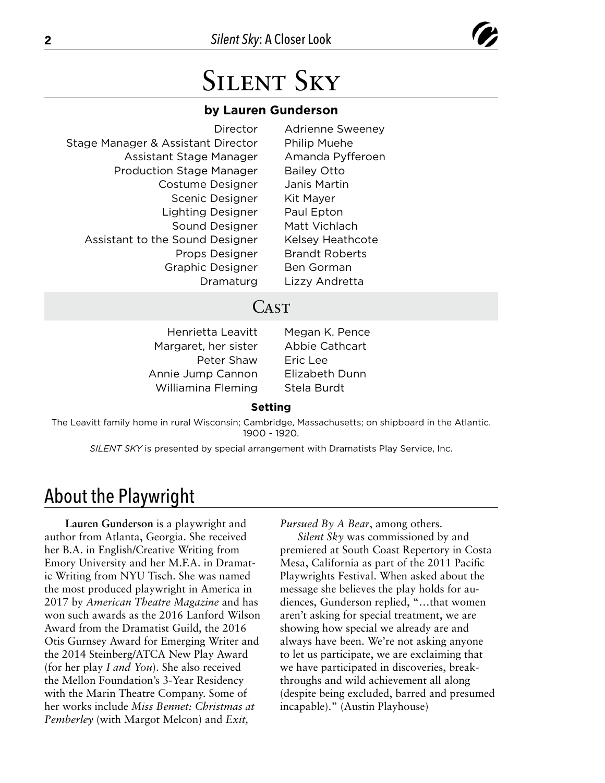

# Silent Sky

#### **by Lauren Gunderson**

| Director                           | <b>Adrienne Sweeney</b> |
|------------------------------------|-------------------------|
| Stage Manager & Assistant Director | <b>Philip Muehe</b>     |
| Assistant Stage Manager            | Amanda Pyfferoen        |
| <b>Production Stage Manager</b>    | <b>Bailey Otto</b>      |
| <b>Costume Designer</b>            | Janis Martin            |
| Scenic Designer                    | Kit Mayer               |
| <b>Lighting Designer</b>           | Paul Epton              |
| Sound Designer                     | Matt Vichlach           |
| Assistant to the Sound Designer    | Kelsey Heathcote        |
| Props Designer                     | <b>Brandt Roberts</b>   |
| <b>Graphic Designer</b>            | <b>Ben Gorman</b>       |
| Dramaturg                          | Lizzy Andretta          |
|                                    |                         |

#### **CAST**

Margaret, her sister Abbie Cathcart Peter Shaw Eric Lee Annie Jump Cannon Elizabeth Dunn Williamina Fleming Stela Burdt

Henrietta Leavitt Megan K. Pence

#### **Setting**

The Leavitt family home in rural Wisconsin; Cambridge, Massachusetts; on shipboard in the Atlantic. 1900 - 1920.

*SILENT SKY* is presented by special arrangement with Dramatists Play Service, Inc.

#### About the Playwright

**Lauren Gunderson** is a playwright and author from Atlanta, Georgia. She received her B.A. in English/Creative Writing from Emory University and her M.F.A. in Dramatic Writing from NYU Tisch. She was named the most produced playwright in America in 2017 by *American Theatre Magazine* and has won such awards as the 2016 Lanford Wilson Award from the Dramatist Guild, the 2016 Otis Gurnsey Award for Emerging Writer and the 2014 Steinberg/ATCA New Play Award (for her play *I and You*). She also received the Mellon Foundation's 3-Year Residency with the Marin Theatre Company. Some of her works include *Miss Bennet: Christmas at Pemberley* (with Margot Melcon) and *Exit,* 

*Pursued By A Bear*, among others.

*Silent Sky* was commissioned by and premiered at South Coast Repertory in Costa Mesa, California as part of the 2011 Pacific Playwrights Festival. When asked about the message she believes the play holds for audiences, Gunderson replied, "…that women aren't asking for special treatment, we are showing how special we already are and always have been. We're not asking anyone to let us participate, we are exclaiming that we have participated in discoveries, breakthroughs and wild achievement all along (despite being excluded, barred and presumed incapable)." (Austin Playhouse)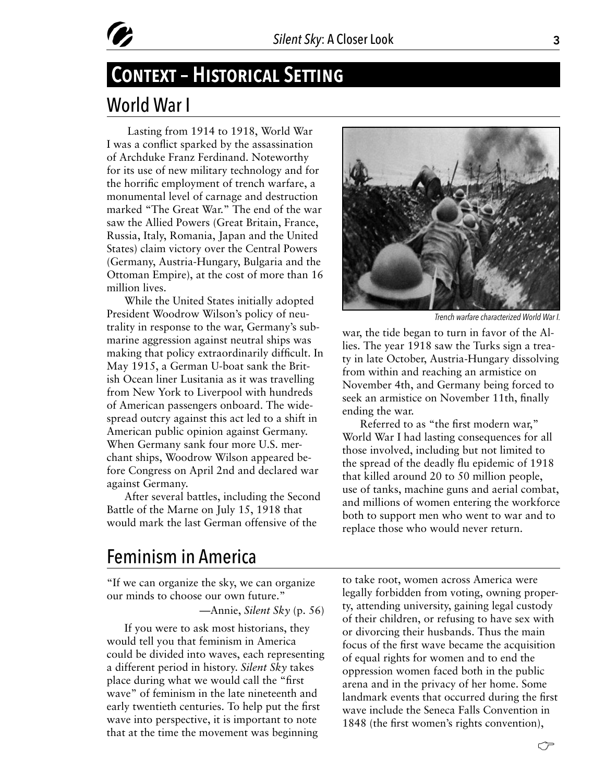

## World War I **Context – Historical Setting**

 Lasting from 1914 to 1918, World War I was a conflict sparked by the assassination of Archduke Franz Ferdinand. Noteworthy for its use of new military technology and for the horrific employment of trench warfare, a monumental level of carnage and destruction marked "The Great War." The end of the war saw the Allied Powers (Great Britain, France, Russia, Italy, Romania, Japan and the United States) claim victory over the Central Powers (Germany, Austria-Hungary, Bulgaria and the Ottoman Empire), at the cost of more than 16 million lives.

While the United States initially adopted President Woodrow Wilson's policy of neutrality in response to the war, Germany's submarine aggression against neutral ships was making that policy extraordinarily difficult. In May 1915, a German U-boat sank the British Ocean liner Lusitania as it was travelling from New York to Liverpool with hundreds of American passengers onboard. The widespread outcry against this act led to a shift in American public opinion against Germany. When Germany sank four more U.S. merchant ships, Woodrow Wilson appeared before Congress on April 2nd and declared war against Germany.

After several battles, including the Second Battle of the Marne on July 15, 1918 that would mark the last German offensive of the



*Trench warfare characterized World War I.*

war, the tide began to turn in favor of the Allies. The year 1918 saw the Turks sign a treaty in late October, Austria-Hungary dissolving from within and reaching an armistice on November 4th, and Germany being forced to seek an armistice on November 11th, finally ending the war.

Referred to as "the first modern war," World War I had lasting consequences for all those involved, including but not limited to the spread of the deadly flu epidemic of 1918 that killed around 20 to 50 million people, use of tanks, machine guns and aerial combat, and millions of women entering the workforce both to support men who went to war and to replace those who would never return.

#### Feminism in America

"If we can organize the sky, we can organize our minds to choose our own future."

—Annie, *Silent Sky* (p. 56)

If you were to ask most historians, they would tell you that feminism in America could be divided into waves, each representing a different period in history. *Silent Sky* takes place during what we would call the "first wave" of feminism in the late nineteenth and early twentieth centuries. To help put the first wave into perspective, it is important to note that at the time the movement was beginning

to take root, women across America were legally forbidden from voting, owning property, attending university, gaining legal custody of their children, or refusing to have sex with or divorcing their husbands. Thus the main focus of the first wave became the acquisition of equal rights for women and to end the oppression women faced both in the public arena and in the privacy of her home. Some landmark events that occurred during the first wave include the Seneca Falls Convention in 1848 (the first women's rights convention),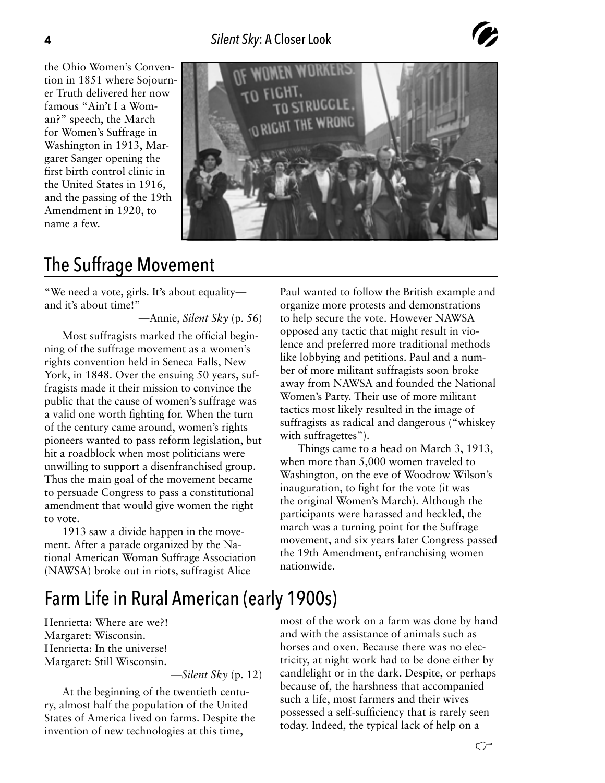

the Ohio Women's Convention in 1851 where Sojourner Truth delivered her now famous "Ain't I a Woman?" speech, the March for Women's Suffrage in Washington in 1913, Margaret Sanger opening the first birth control clinic in the United States in 1916, and the passing of the 19th Amendment in 1920, to name a few.



#### The Suffrage Movement

"We need a vote, girls. It's about equality and it's about time!"

—Annie, *Silent Sky* (p. 56)

Most suffragists marked the official beginning of the suffrage movement as a women's rights convention held in Seneca Falls, New York, in 1848. Over the ensuing 50 years, suffragists made it their mission to convince the public that the cause of women's suffrage was a valid one worth fighting for. When the turn of the century came around, women's rights pioneers wanted to pass reform legislation, but hit a roadblock when most politicians were unwilling to support a disenfranchised group. Thus the main goal of the movement became to persuade Congress to pass a constitutional amendment that would give women the right to vote.

1913 saw a divide happen in the movement. After a parade organized by the National American Woman Suffrage Association (NAWSA) broke out in riots, suffragist Alice

Paul wanted to follow the British example and organize more protests and demonstrations to help secure the vote. However NAWSA opposed any tactic that might result in violence and preferred more traditional methods like lobbying and petitions. Paul and a number of more militant suffragists soon broke away from NAWSA and founded the National Women's Party. Their use of more militant tactics most likely resulted in the image of suffragists as radical and dangerous ("whiskey with suffragettes").

Things came to a head on March 3, 1913, when more than 5,000 women traveled to Washington, on the eve of Woodrow Wilson's inauguration, to fight for the vote (it was the original Women's March). Although the participants were harassed and heckled, the march was a turning point for the Suffrage movement, and six years later Congress passed the 19th Amendment, enfranchising women nationwide.

#### Farm Life in Rural American (early 1900s)

Henrietta: Where are we?! Margaret: Wisconsin. Henrietta: In the universe! Margaret: Still Wisconsin.

—*Silent Sky* (p. 12)

At the beginning of the twentieth century, almost half the population of the United States of America lived on farms. Despite the invention of new technologies at this time,

most of the work on a farm was done by hand and with the assistance of animals such as horses and oxen. Because there was no electricity, at night work had to be done either by candlelight or in the dark. Despite, or perhaps because of, the harshness that accompanied such a life, most farmers and their wives possessed a self-sufficiency that is rarely seen today. Indeed, the typical lack of help on a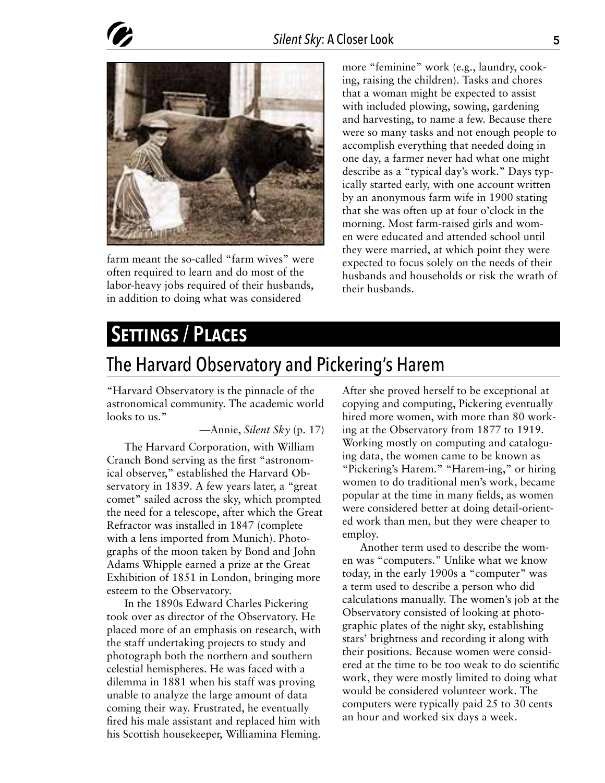

farm meant the so-called "farm wives" were often required to learn and do most of the labor-heavy jobs required of their husbands, in addition to doing what was considered

more "feminine" work (e.g., laundry, cooking, raising the children). Tasks and chores that a woman might be expected to assist with included plowing, sowing, gardening and harvesting, to name a few. Because there were so many tasks and not enough people to accomplish everything that needed doing in one day, a farmer never had what one might describe as a "typical day's work." Days typically started early, with one account written by an anonymous farm wife in 1900 stating that she was often up at four o'clock in the morning. Most farm-raised girls and women were educated and attended school until they were married, at which point they were expected to focus solely on the needs of their husbands and households or risk the wrath of their husbands.

#### SETTINGS / PLACES

#### The Harvard Observatory and Pickering's Harem

"Harvard Observatory is the pinnacle of the astronomical community. The academic world looks to us."

—Annie, *Silent Sky* (p. 17)

The Harvard Corporation, with William Cranch Bond serving as the first "astronomical observer," established the Harvard Observatory in 1839. A few years later, a "great comet" sailed across the sky, which prompted the need for a telescope, after which the Great Refractor was installed in 1847 (complete with a lens imported from Munich). Photographs of the moon taken by Bond and John Adams Whipple earned a prize at the Great Exhibition of 1851 in London, bringing more esteem to the Observatory.

In the 1890s Edward Charles Pickering took over as director of the Observatory. He placed more of an emphasis on research, with the staff undertaking projects to study and photograph both the northern and southern celestial hemispheres. He was faced with a dilemma in 1881 when his staff was proving unable to analyze the large amount of data coming their way. Frustrated, he eventually fired his male assistant and replaced him with his Scottish housekeeper, Williamina Fleming.

After she proved herself to be exceptional at copying and computing, Pickering eventually hired more women, with more than 80 working at the Observatory from 1877 to 1919. Working mostly on computing and cataloguing data, the women came to be known as "Pickering's Harem." "Harem-ing," or hiring women to do traditional men's work, became popular at the time in many fields, as women were considered better at doing detail-oriented work than men, but they were cheaper to employ.

Another term used to describe the women was "computers." Unlike what we know today, in the early 1900s a "computer" was a term used to describe a person who did calculations manually. The women's job at the Observatory consisted of looking at photographic plates of the night sky, establishing stars' brightness and recording it along with their positions. Because women were considered at the time to be too weak to do scientific work, they were mostly limited to doing what would be considered volunteer work. The computers were typically paid 25 to 30 cents an hour and worked six days a week.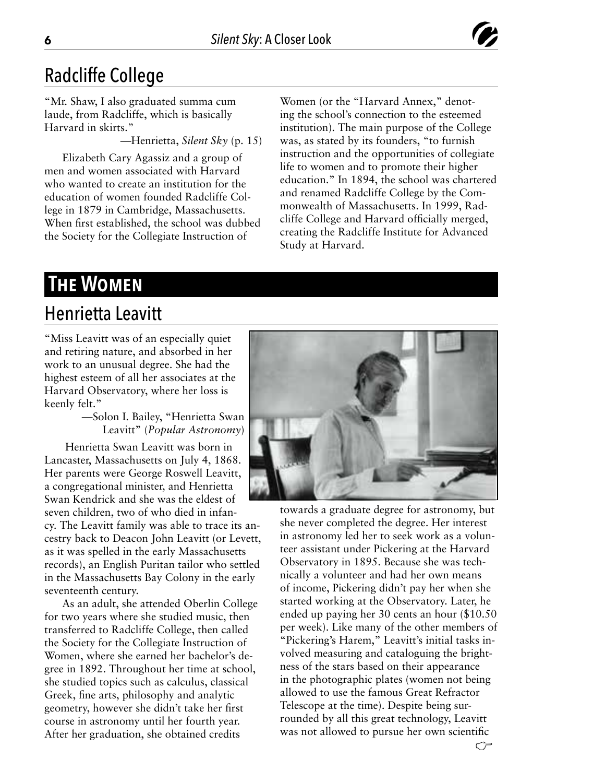

#### Radcliffe College

"Mr. Shaw, I also graduated summa cum laude, from Radcliffe, which is basically Harvard in skirts."

—Henrietta, *Silent Sky* (p. 15)

Elizabeth Cary Agassiz and a group of men and women associated with Harvard who wanted to create an institution for the education of women founded Radcliffe College in 1879 in Cambridge, Massachusetts. When first established, the school was dubbed the Society for the Collegiate Instruction of

Women (or the "Harvard Annex," denoting the school's connection to the esteemed institution). The main purpose of the College was, as stated by its founders, "to furnish instruction and the opportunities of collegiate life to women and to promote their higher education." In 1894, the school was chartered and renamed Radcliffe College by the Commonwealth of Massachusetts. In 1999, Radcliffe College and Harvard officially merged, creating the Radcliffe Institute for Advanced Study at Harvard.

#### **The Women**

#### Henrietta Leavitt

"Miss Leavitt was of an especially quiet and retiring nature, and absorbed in her work to an unusual degree. She had the highest esteem of all her associates at the Harvard Observatory, where her loss is keenly felt."

> —Solon I. Bailey, "Henrietta Swan Leavitt" (*Popular Astronomy*)

 Henrietta Swan Leavitt was born in Lancaster, Massachusetts on July 4, 1868. Her parents were George Roswell Leavitt, a congregational minister, and Henrietta Swan Kendrick and she was the eldest of seven children, two of who died in infancy. The Leavitt family was able to trace its ancestry back to Deacon John Leavitt (or Levett, as it was spelled in the early Massachusetts records), an English Puritan tailor who settled in the Massachusetts Bay Colony in the early seventeenth century.

As an adult, she attended Oberlin College for two years where she studied music, then transferred to Radcliffe College, then called the Society for the Collegiate Instruction of Women, where she earned her bachelor's degree in 1892. Throughout her time at school, she studied topics such as calculus, classical Greek, fine arts, philosophy and analytic geometry, however she didn't take her first course in astronomy until her fourth year. After her graduation, she obtained credits



towards a graduate degree for astronomy, but she never completed the degree. Her interest in astronomy led her to seek work as a volunteer assistant under Pickering at the Harvard Observatory in 1895. Because she was technically a volunteer and had her own means of income, Pickering didn't pay her when she started working at the Observatory. Later, he ended up paying her 30 cents an hour (\$10.50 per week). Like many of the other members of "Pickering's Harem," Leavitt's initial tasks involved measuring and cataloguing the brightness of the stars based on their appearance in the photographic plates (women not being allowed to use the famous Great Refractor Telescope at the time). Despite being surrounded by all this great technology, Leavitt was not allowed to pursue her own scientific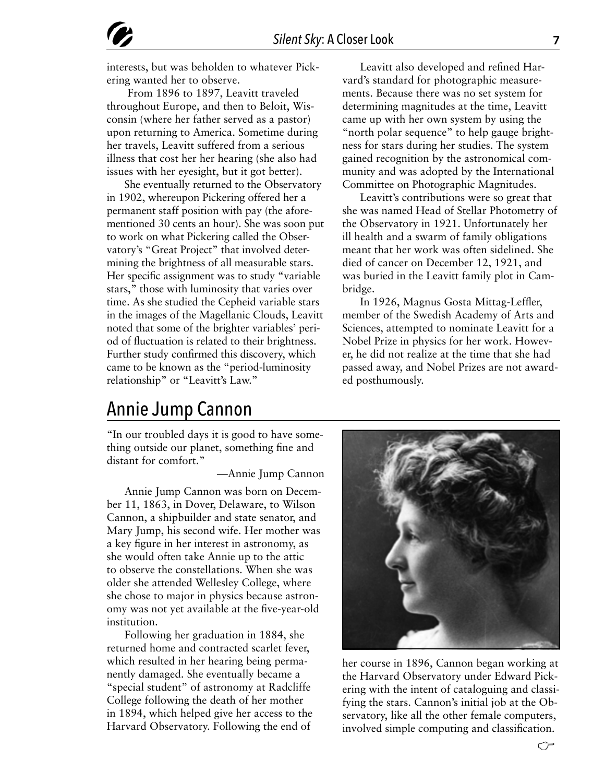interests, but was beholden to whatever Pickering wanted her to observe.

 From 1896 to 1897, Leavitt traveled throughout Europe, and then to Beloit, Wisconsin (where her father served as a pastor) upon returning to America. Sometime during her travels, Leavitt suffered from a serious illness that cost her her hearing (she also had issues with her eyesight, but it got better).

She eventually returned to the Observatory in 1902, whereupon Pickering offered her a permanent staff position with pay (the aforementioned 30 cents an hour). She was soon put to work on what Pickering called the Observatory's "Great Project" that involved determining the brightness of all measurable stars. Her specific assignment was to study "variable stars," those with luminosity that varies over time. As she studied the Cepheid variable stars in the images of the Magellanic Clouds, Leavitt noted that some of the brighter variables' period of fluctuation is related to their brightness. Further study confirmed this discovery, which came to be known as the "period-luminosity relationship" or "Leavitt's Law."

Leavitt also developed and refined Harvard's standard for photographic measurements. Because there was no set system for determining magnitudes at the time, Leavitt came up with her own system by using the "north polar sequence" to help gauge brightness for stars during her studies. The system gained recognition by the astronomical community and was adopted by the International Committee on Photographic Magnitudes.

Leavitt's contributions were so great that she was named Head of Stellar Photometry of the Observatory in 1921. Unfortunately her ill health and a swarm of family obligations meant that her work was often sidelined. She died of cancer on December 12, 1921, and was buried in the Leavitt family plot in Cambridge.

In 1926, Magnus Gosta Mittag-Leffler, member of the Swedish Academy of Arts and Sciences, attempted to nominate Leavitt for a Nobel Prize in physics for her work. However, he did not realize at the time that she had passed away, and Nobel Prizes are not awarded posthumously.

#### Annie Jump Cannon

"In our troubled days it is good to have something outside our planet, something fine and distant for comfort."

—Annie Jump Cannon

Annie Jump Cannon was born on December 11, 1863, in Dover, Delaware, to Wilson Cannon, a shipbuilder and state senator, and Mary Jump, his second wife. Her mother was a key figure in her interest in astronomy, as she would often take Annie up to the attic to observe the constellations. When she was older she attended Wellesley College, where she chose to major in physics because astronomy was not yet available at the five-year-old institution.

Following her graduation in 1884, she returned home and contracted scarlet fever, which resulted in her hearing being permanently damaged. She eventually became a "special student" of astronomy at Radcliffe College following the death of her mother in 1894, which helped give her access to the Harvard Observatory. Following the end of

her course in 1896, Cannon began working at the Harvard Observatory under Edward Pickering with the intent of cataloguing and classifying the stars. Cannon's initial job at the Observatory, like all the other female computers, involved simple computing and classification.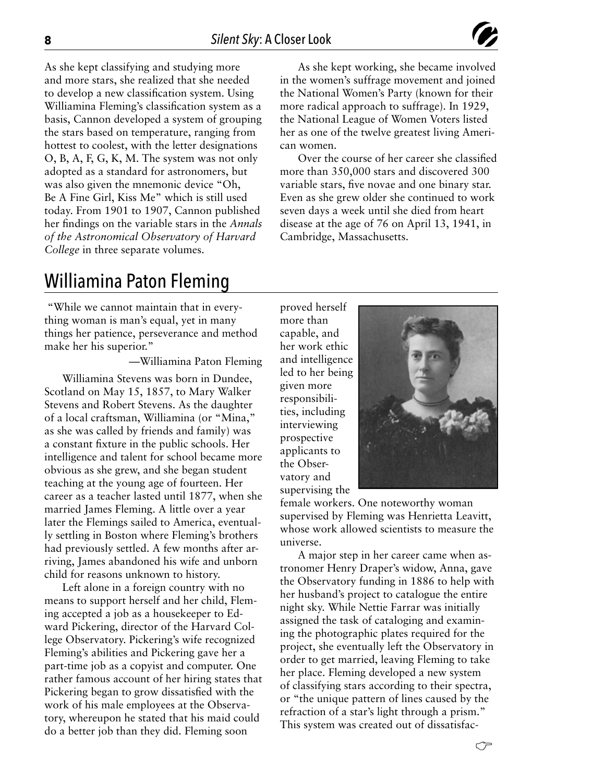can women.

Cambridge, Massachusetts.



As she kept working, she became involved in the women's suffrage movement and joined the National Women's Party (known for their more radical approach to suffrage). In 1929, the National League of Women Voters listed her as one of the twelve greatest living Ameri-

Over the course of her career she classified more than 350,000 stars and discovered 300 variable stars, five novae and one binary star. Even as she grew older she continued to work seven days a week until she died from heart disease at the age of 76 on April 13, 1941, in

As she kept classifying and studying more and more stars, she realized that she needed to develop a new classification system. Using Williamina Fleming's classification system as a basis, Cannon developed a system of grouping the stars based on temperature, ranging from hottest to coolest, with the letter designations O, B, A, F, G, K, M. The system was not only adopted as a standard for astronomers, but was also given the mnemonic device "Oh, Be A Fine Girl, Kiss Me" which is still used today. From 1901 to 1907, Cannon published her findings on the variable stars in the *Annals of the Astronomical Observatory of Harvard College* in three separate volumes.

#### Williamina Paton Fleming

 "While we cannot maintain that in everything woman is man's equal, yet in many things her patience, perseverance and method make her his superior."

—Williamina Paton Fleming

Williamina Stevens was born in Dundee, Scotland on May 15, 1857, to Mary Walker Stevens and Robert Stevens. As the daughter of a local craftsman, Williamina (or "Mina," as she was called by friends and family) was a constant fixture in the public schools. Her intelligence and talent for school became more obvious as she grew, and she began student teaching at the young age of fourteen. Her career as a teacher lasted until 1877, when she married James Fleming. A little over a year later the Flemings sailed to America, eventually settling in Boston where Fleming's brothers had previously settled. A few months after arriving, James abandoned his wife and unborn child for reasons unknown to history.

Left alone in a foreign country with no means to support herself and her child, Fleming accepted a job as a housekeeper to Edward Pickering, director of the Harvard College Observatory. Pickering's wife recognized Fleming's abilities and Pickering gave her a part-time job as a copyist and computer. One rather famous account of her hiring states that Pickering began to grow dissatisfied with the work of his male employees at the Observatory, whereupon he stated that his maid could do a better job than they did. Fleming soon

proved herself more than capable, and her work ethic and intelligence led to her being given more responsibilities, including interviewing prospective applicants to the Observatory and supervising the



female workers. One noteworthy woman supervised by Fleming was Henrietta Leavitt, whose work allowed scientists to measure the universe.

A major step in her career came when astronomer Henry Draper's widow, Anna, gave the Observatory funding in 1886 to help with her husband's project to catalogue the entire night sky. While Nettie Farrar was initially assigned the task of cataloging and examining the photographic plates required for the project, she eventually left the Observatory in order to get married, leaving Fleming to take her place. Fleming developed a new system of classifying stars according to their spectra, or "the unique pattern of lines caused by the refraction of a star's light through a prism." This system was created out of dissatisfac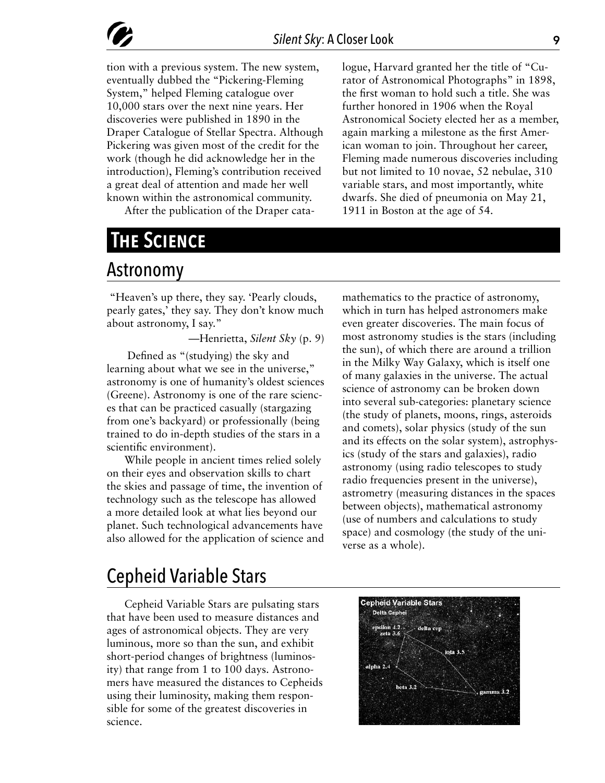tion with a previous system. The new system, eventually dubbed the "Pickering-Fleming System," helped Fleming catalogue over 10,000 stars over the next nine years. Her discoveries were published in 1890 in the Draper Catalogue of Stellar Spectra. Although Pickering was given most of the credit for the work (though he did acknowledge her in the introduction), Fleming's contribution received a great deal of attention and made her well known within the astronomical community.

After the publication of the Draper cata-

## **The Science**

#### Astronomy

 "Heaven's up there, they say. 'Pearly clouds, pearly gates,' they say. They don't know much about astronomy, I say."

—Henrietta, *Silent Sky* (p. 9)

 Defined as "(studying) the sky and learning about what we see in the universe," astronomy is one of humanity's oldest sciences (Greene). Astronomy is one of the rare sciences that can be practiced casually (stargazing from one's backyard) or professionally (being trained to do in-depth studies of the stars in a scientific environment).

While people in ancient times relied solely on their eyes and observation skills to chart the skies and passage of time, the invention of technology such as the telescope has allowed a more detailed look at what lies beyond our planet. Such technological advancements have also allowed for the application of science and mathematics to the practice of astronomy, which in turn has helped astronomers make even greater discoveries. The main focus of most astronomy studies is the stars (including the sun), of which there are around a trillion in the Milky Way Galaxy, which is itself one of many galaxies in the universe. The actual science of astronomy can be broken down into several sub-categories: planetary science (the study of planets, moons, rings, asteroids and comets), solar physics (study of the sun and its effects on the solar system), astrophysics (study of the stars and galaxies), radio astronomy (using radio telescopes to study radio frequencies present in the universe), astrometry (measuring distances in the spaces between objects), mathematical astronomy (use of numbers and calculations to study space) and cosmology (the study of the universe as a whole).

logue, Harvard granted her the title of "Curator of Astronomical Photographs" in 1898, the first woman to hold such a title. She was further honored in 1906 when the Royal Astronomical Society elected her as a member, again marking a milestone as the first American woman to join. Throughout her career, Fleming made numerous discoveries including but not limited to 10 novae, 52 nebulae, 310 variable stars, and most importantly, white dwarfs. She died of pneumonia on May 21,

1911 in Boston at the age of 54.

#### Cepheid Variable Stars

Cepheid Variable Stars are pulsating stars that have been used to measure distances and ages of astronomical objects. They are very luminous, more so than the sun, and exhibit short-period changes of brightness (luminosity) that range from 1 to 100 days. Astronomers have measured the distances to Cepheids using their luminosity, making them responsible for some of the greatest discoveries in science.

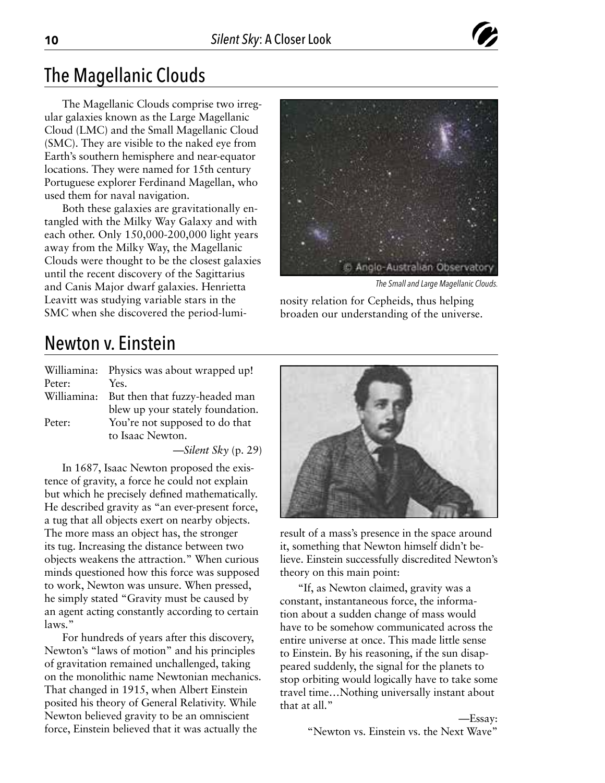#### The Magellanic Clouds

The Magellanic Clouds comprise two irregular galaxies known as the Large Magellanic Cloud (LMC) and the Small Magellanic Cloud (SMC). They are visible to the naked eye from Earth's southern hemisphere and near-equator locations. They were named for 15th century Portuguese explorer Ferdinand Magellan, who used them for naval navigation.

Both these galaxies are gravitationally entangled with the Milky Way Galaxy and with each other. Only 150,000-200,000 light years away from the Milky Way, the Magellanic Clouds were thought to be the closest galaxies until the recent discovery of the Sagittarius and Canis Major dwarf galaxies. Henrietta Leavitt was studying variable stars in the SMC when she discovered the period-lumi-



*The Small and Large Magellanic Clouds.*

nosity relation for Cepheids, thus helping broaden our understanding of the universe.

#### Newton v. Einstein

|        | Williamina: Physics was about wrapped up!  |
|--------|--------------------------------------------|
| Peter: | Yes.                                       |
|        | Williamina: But then that fuzzy-headed man |
|        | blew up your stately foundation.           |
| Peter: | You're not supposed to do that             |
|        | to Isaac Newton.                           |

—*Silent Sky* (p. 29)

In 1687, Isaac Newton proposed the existence of gravity, a force he could not explain but which he precisely defined mathematically. He described gravity as "an ever-present force, a tug that all objects exert on nearby objects. The more mass an object has, the stronger its tug. Increasing the distance between two objects weakens the attraction." When curious minds questioned how this force was supposed to work, Newton was unsure. When pressed, he simply stated "Gravity must be caused by an agent acting constantly according to certain laws."

For hundreds of years after this discovery, Newton's "laws of motion" and his principles of gravitation remained unchallenged, taking on the monolithic name Newtonian mechanics. That changed in 1915, when Albert Einstein posited his theory of General Relativity. While Newton believed gravity to be an omniscient force, Einstein believed that it was actually the



result of a mass's presence in the space around it, something that Newton himself didn't believe. Einstein successfully discredited Newton's theory on this main point:

"If, as Newton claimed, gravity was a constant, instantaneous force, the information about a sudden change of mass would have to be somehow communicated across the entire universe at once. This made little sense to Einstein. By his reasoning, if the sun disappeared suddenly, the signal for the planets to stop orbiting would logically have to take some travel time…Nothing universally instant about that at all."

> —Essay: "Newton vs. Einstein vs. the Next Wave"

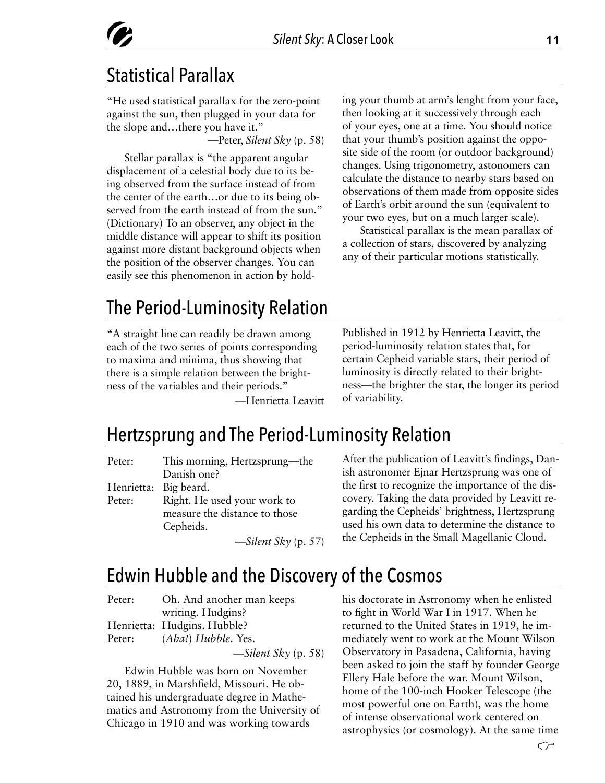## Statistical Parallax

"He used statistical parallax for the zero-point against the sun, then plugged in your data for the slope and…there you have it." —Peter, *Silent Sky* (p. 58)

Stellar parallax is "the apparent angular displacement of a celestial body due to its being observed from the surface instead of from the center of the earth…or due to its being observed from the earth instead of from the sun." (Dictionary) To an observer, any object in the middle distance will appear to shift its position against more distant background objects when the position of the observer changes. You can easily see this phenomenon in action by holding your thumb at arm's lenght from your face, then looking at it successively through each of your eyes, one at a time. You should notice that your thumb's position against the opposite side of the room (or outdoor background) changes. Using trigonometry, astonomers can calculate the distance to nearby stars based on observations of them made from opposite sides of Earth's orbit around the sun (equivalent to your two eyes, but on a much larger scale).

Statistical parallax is the mean parallax of a collection of stars, discovered by analyzing any of their particular motions statistically.

## The Period-Luminosity Relation

"A straight line can readily be drawn among each of the two series of points corresponding to maxima and minima, thus showing that there is a simple relation between the brightness of the variables and their periods."

—Henrietta Leavitt

Published in 1912 by Henrietta Leavitt, the period-luminosity relation states that, for certain Cepheid variable stars, their period of luminosity is directly related to their brightness—the brighter the star, the longer its period of variability.

#### Hertzsprung and The Period-Luminosity Relation

| Peter: | This morning, Hertzsprung—the |
|--------|-------------------------------|
|        | Danish one?                   |
|        | Henrietta: Big beard.         |
| Peter: | Right. He used your work to   |
|        | measure the distance to those |
|        | Cepheids.                     |
|        | $-1$ $-1$                     |

—*Silent Sky* (p. 57)

After the publication of Leavitt's findings, Danish astronomer Ejnar Hertzsprung was one of the first to recognize the importance of the discovery. Taking the data provided by Leavitt regarding the Cepheids' brightness, Hertzsprung used his own data to determine the distance to the Cepheids in the Small Magellanic Cloud.

#### Edwin Hubble and the Discovery of the Cosmos

| Peter: | Oh. And another man keeps   |
|--------|-----------------------------|
|        | writing. Hudgins?           |
|        | Henrietta: Hudgins. Hubble? |
| Peter: | $(Aba!)$ Hubble. Yes.       |
|        |                             |

—*Silent Sky* (p. 58)

Edwin Hubble was born on November 20, 1889, in Marshfield, Missouri. He obtained his undergraduate degree in Mathematics and Astronomy from the University of Chicago in 1910 and was working towards

his doctorate in Astronomy when he enlisted to fight in World War I in 1917. When he returned to the United States in 1919, he immediately went to work at the Mount Wilson Observatory in Pasadena, California, having been asked to join the staff by founder George Ellery Hale before the war. Mount Wilson, home of the 100-inch Hooker Telescope (the most powerful one on Earth), was the home of intense observational work centered on astrophysics (or cosmology). At the same time

←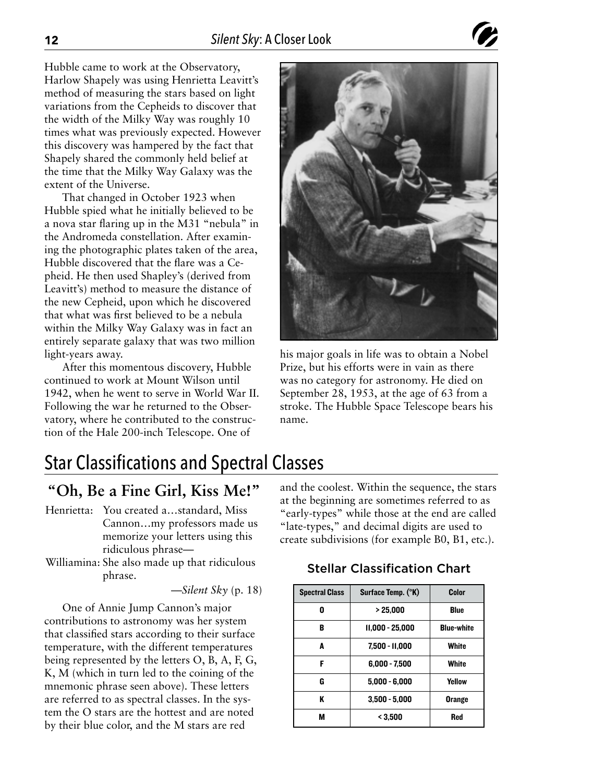Hubble came to work at the Observatory, Harlow Shapely was using Henrietta Leavitt's method of measuring the stars based on light variations from the Cepheids to discover that the width of the Milky Way was roughly 10 times what was previously expected. However this discovery was hampered by the fact that Shapely shared the commonly held belief at the time that the Milky Way Galaxy was the extent of the Universe.

That changed in October 1923 when Hubble spied what he initially believed to be a nova star flaring up in the M31 "nebula" in the Andromeda constellation. After examining the photographic plates taken of the area, Hubble discovered that the flare was a Cepheid. He then used Shapley's (derived from Leavitt's) method to measure the distance of the new Cepheid, upon which he discovered that what was first believed to be a nebula within the Milky Way Galaxy was in fact an entirely separate galaxy that was two million light-years away.

After this momentous discovery, Hubble continued to work at Mount Wilson until 1942, when he went to serve in World War II. Following the war he returned to the Observatory, where he contributed to the construction of the Hale 200-inch Telescope. One of



his major goals in life was to obtain a Nobel Prize, but his efforts were in vain as there was no category for astronomy. He died on September 28, 1953, at the age of 63 from a stroke. The Hubble Space Telescope bears his name.

## Star Classifications and Spectral Classes

#### **"Oh, Be a Fine Girl, Kiss Me!"**

- Henrietta: You created a…standard, Miss Cannon…my professors made us memorize your letters using this ridiculous phrase—
- Williamina: She also made up that ridiculous phrase.

—*Silent Sky* (p. 18)

One of Annie Jump Cannon's major contributions to astronomy was her system that classified stars according to their surface temperature, with the different temperatures being represented by the letters O, B, A, F, G, K, M (which in turn led to the coining of the mnemonic phrase seen above). These letters are referred to as spectral classes. In the system the O stars are the hottest and are noted by their blue color, and the M stars are red

and the coolest. Within the sequence, the stars at the beginning are sometimes referred to as "early-types" while those at the end are called "late-types," and decimal digits are used to create subdivisions (for example B0, B1, etc.).

#### Stellar Classification Chart

| <b>Spectral Class</b> | Surface Temp. (°K) | Color             |
|-----------------------|--------------------|-------------------|
| n                     | > 25.000           | <b>Blue</b>       |
| B                     | 11.000 - 25.000    | <b>Blue-white</b> |
| A                     | 7,500 - 11,000     | White             |
| F                     | $6,000 - 7,500$    | White             |
| G                     | $5,000 - 6,000$    | Yellow            |
| ĸ                     | $3,500 - 5,000$    | <b>Orange</b>     |
| М                     | < 3.500            | Red               |

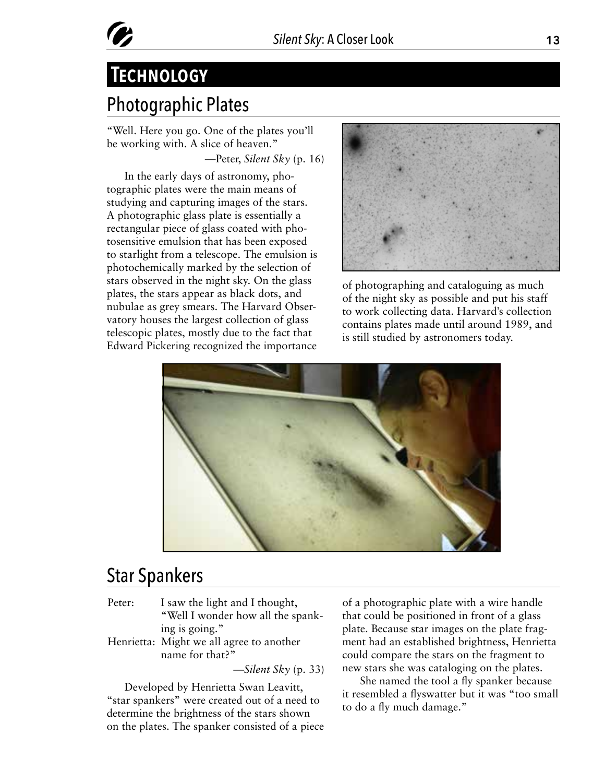# **Technology**

## Photographic Plates

"Well. Here you go. One of the plates you'll be working with. A slice of heaven." —Peter, *Silent Sky* (p. 16)

In the early days of astronomy, photographic plates were the main means of studying and capturing images of the stars. A photographic glass plate is essentially a rectangular piece of glass coated with photosensitive emulsion that has been exposed to starlight from a telescope. The emulsion is photochemically marked by the selection of stars observed in the night sky. On the glass plates, the stars appear as black dots, and nubulae as grey smears. The Harvard Observatory houses the largest collection of glass telescopic plates, mostly due to the fact that Edward Pickering recognized the importance



of photographing and cataloguing as much of the night sky as possible and put his staff to work collecting data. Harvard's collection contains plates made until around 1989, and is still studied by astronomers today.



## Star Spankers

- Peter: I saw the light and I thought, "Well I wonder how all the spanking is going."
- Henrietta: Might we all agree to another name for that?"

—*Silent Sky* (p. 33)

Developed by Henrietta Swan Leavitt, "star spankers" were created out of a need to determine the brightness of the stars shown on the plates. The spanker consisted of a piece of a photographic plate with a wire handle that could be positioned in front of a glass plate. Because star images on the plate fragment had an established brightness, Henrietta could compare the stars on the fragment to new stars she was cataloging on the plates.

She named the tool a fly spanker because it resembled a flyswatter but it was "too small to do a fly much damage."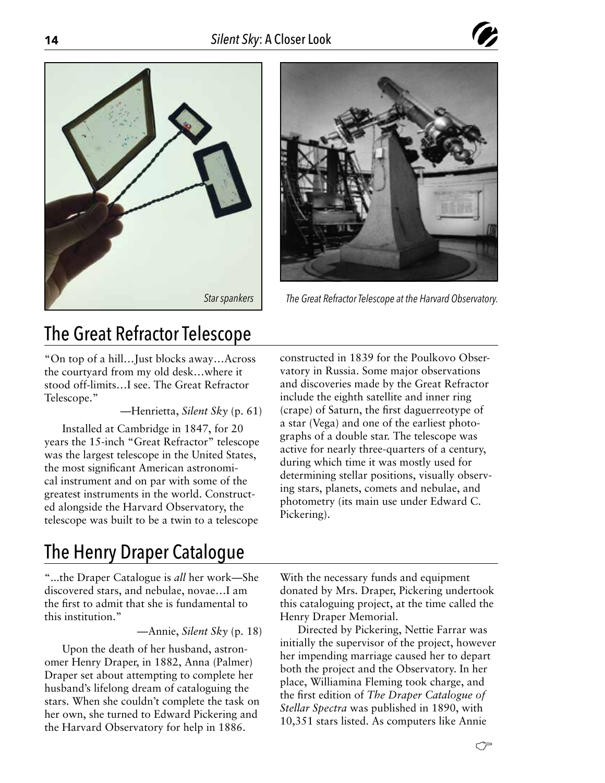





*The Great Refractor Telescope at the Harvard Observatory.*

#### The Great Refractor Telescope

"On top of a hill…Just blocks away…Across the courtyard from my old desk…where it stood off-limits…I see. The Great Refractor Telescope."

—Henrietta, *Silent Sky* (p. 61)

Installed at Cambridge in 1847, for 20 years the 15-inch "Great Refractor" telescope was the largest telescope in the United States, the most significant American astronomical instrument and on par with some of the greatest instruments in the world. Constructed alongside the Harvard Observatory, the telescope was built to be a twin to a telescope

## The Henry Draper Catalogue

"...the Draper Catalogue is *all* her work—She discovered stars, and nebulae, novae…I am the first to admit that she is fundamental to this institution."

—Annie, *Silent Sky* (p. 18)

Upon the death of her husband, astronomer Henry Draper, in 1882, Anna (Palmer) Draper set about attempting to complete her husband's lifelong dream of cataloguing the stars. When she couldn't complete the task on her own, she turned to Edward Pickering and the Harvard Observatory for help in 1886.

constructed in 1839 for the Poulkovo Observatory in Russia. Some major observations and discoveries made by the Great Refractor include the eighth satellite and inner ring (crape) of Saturn, the first daguerreotype of a star (Vega) and one of the earliest photographs of a double star. The telescope was active for nearly three-quarters of a century, during which time it was mostly used for determining stellar positions, visually observing stars, planets, comets and nebulae, and photometry (its main use under Edward C. Pickering).

With the necessary funds and equipment donated by Mrs. Draper, Pickering undertook this cataloguing project, at the time called the Henry Draper Memorial.

Directed by Pickering, Nettie Farrar was initially the supervisor of the project, however her impending marriage caused her to depart both the project and the Observatory. In her place, Williamina Fleming took charge, and the first edition of *The Draper Catalogue of Stellar Spectra* was published in 1890, with 10,351 stars listed. As computers like Annie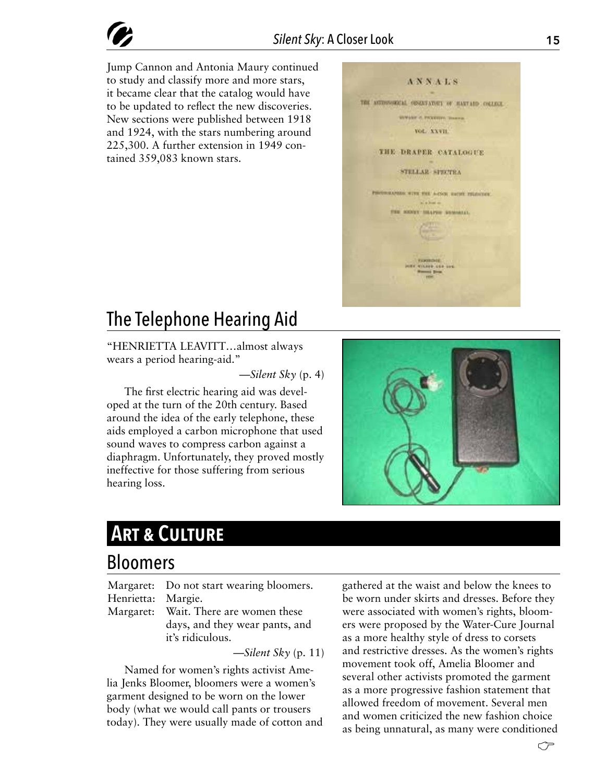Jump Cannon and Antonia Maury continued to study and classify more and more stars, it became clear that the catalog would have to be updated to reflect the new discoveries. New sections were published between 1918 and 1924, with the stars numbering around 225,300. A further extension in 1949 contained 359,083 known stars.



#### The Telephone Hearing Aid

"HENRIETTA LEAVITT…almost always wears a period hearing-aid."

—*Silent Sky* (p. 4)

The first electric hearing aid was developed at the turn of the 20th century. Based around the idea of the early telephone, these aids employed a carbon microphone that used sound waves to compress carbon against a diaphragm. Unfortunately, they proved mostly ineffective for those suffering from serious hearing loss.



#### **Art & Culture**

#### Bloomers

Margaret: Do not start wearing bloomers. Henrietta: Margie.

Margaret: Wait. There are women these days, and they wear pants, and it's ridiculous.

—*Silent Sky* (p. 11)

Named for women's rights activist Amelia Jenks Bloomer, bloomers were a women's garment designed to be worn on the lower body (what we would call pants or trousers today). They were usually made of cotton and gathered at the waist and below the knees to be worn under skirts and dresses. Before they were associated with women's rights, bloomers were proposed by the Water-Cure Journal as a more healthy style of dress to corsets and restrictive dresses. As the women's rights movement took off, Amelia Bloomer and several other activists promoted the garment as a more progressive fashion statement that allowed freedom of movement. Several men and women criticized the new fashion choice as being unnatural, as many were conditioned

←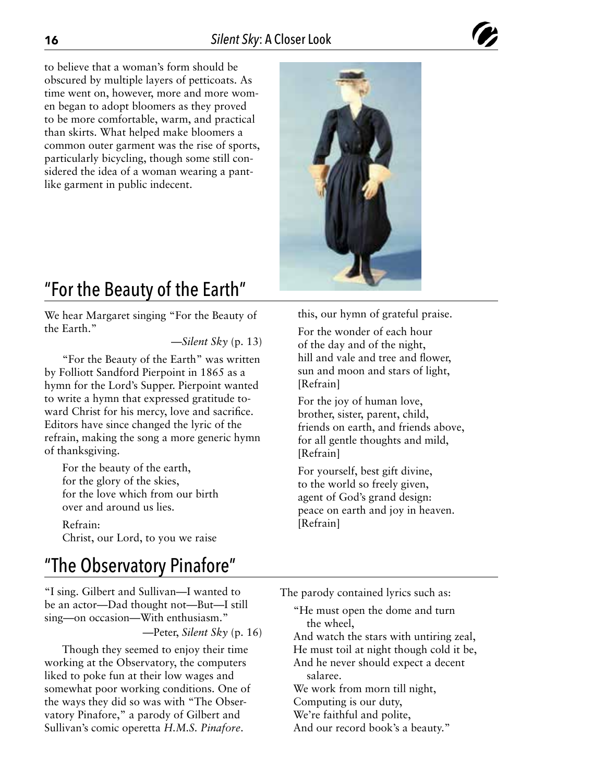to believe that a woman's form should be obscured by multiple layers of petticoats. As time went on, however, more and more women began to adopt bloomers as they proved to be more comfortable, warm, and practical than skirts. What helped make bloomers a common outer garment was the rise of sports, particularly bicycling, though some still considered the idea of a woman wearing a pantlike garment in public indecent.



## "For the Beauty of the Earth"

We hear Margaret singing "For the Beauty of the Earth."

—*Silent Sky* (p. 13)

"For the Beauty of the Earth" was written by Folliott Sandford Pierpoint in 1865 as a hymn for the Lord's Supper. Pierpoint wanted to write a hymn that expressed gratitude toward Christ for his mercy, love and sacrifice. Editors have since changed the lyric of the refrain, making the song a more generic hymn of thanksgiving.

For the beauty of the earth, for the glory of the skies, for the love which from our birth over and around us lies.

Refrain: Christ, our Lord, to you we raise

#### this, our hymn of grateful praise.

For the wonder of each hour of the day and of the night, hill and vale and tree and flower, sun and moon and stars of light, [Refrain]

For the joy of human love, brother, sister, parent, child, friends on earth, and friends above, for all gentle thoughts and mild, [Refrain]

For yourself, best gift divine, to the world so freely given, agent of God's grand design: peace on earth and joy in heaven. [Refrain]

#### "The Observatory Pinafore"

"I sing. Gilbert and Sullivan—I wanted to be an actor—Dad thought not—But—I still sing—on occasion—With enthusiasm."

—Peter, *Silent Sky* (p. 16)

Though they seemed to enjoy their time working at the Observatory, the computers liked to poke fun at their low wages and somewhat poor working conditions. One of the ways they did so was with "The Observatory Pinafore," a parody of Gilbert and Sullivan's comic operetta *H.M.S. Pinafore*.

The parody contained lyrics such as:

"He must open the dome and turn the wheel,

And watch the stars with untiring zeal, He must toil at night though cold it be, And he never should expect a decent

salaree.

We work from morn till night,

Computing is our duty,

We're faithful and polite,

And our record book's a beauty."

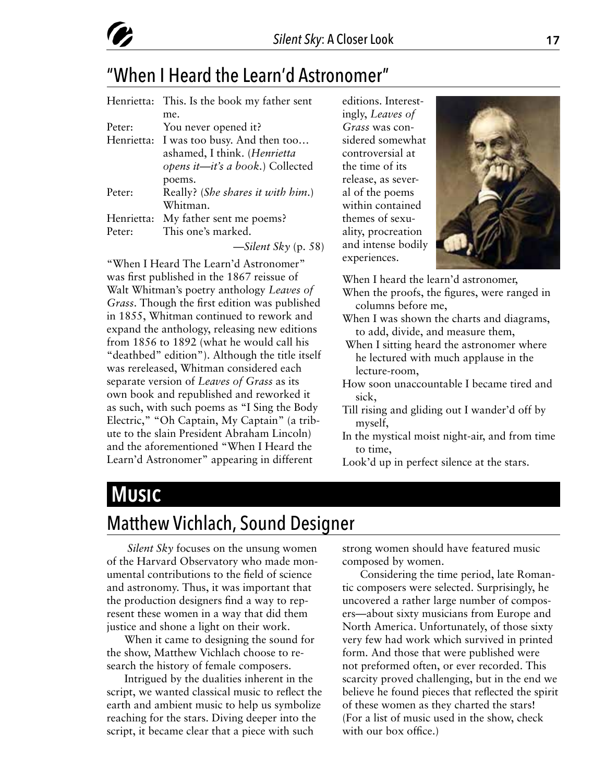

#### "When I Heard the Learn'd Astronomer"

|            | Henrietta: This. Is the book my father sent |
|------------|---------------------------------------------|
|            | me.                                         |
| Peter:     | You never opened it?                        |
|            | Henrietta: I was too busy. And then too     |
|            | ashamed, I think. (Henrietta                |
|            | opens it—it's a book.) Collected            |
|            | poems.                                      |
| Peter:     | Really? (She shares it with him.)           |
|            | Whitman.                                    |
| Henrietta: | My father sent me poems?                    |
| Peter:     | This one's marked.                          |
|            | $\rightarrow$ Silent Sky (p. 58)            |

"When I Heard The Learn'd Astronomer" was first published in the 1867 reissue of Walt Whitman's poetry anthology *Leaves of Grass*. Though the first edition was published in 1855, Whitman continued to rework and expand the anthology, releasing new editions from 1856 to 1892 (what he would call his "deathbed" edition"). Although the title itself was rereleased, Whitman considered each separate version of *Leaves of Grass* as its own book and republished and reworked it as such, with such poems as "I Sing the Body Electric," "Oh Captain, My Captain" (a tribute to the slain President Abraham Lincoln) and the aforementioned "When I Heard the Learn'd Astronomer" appearing in different

editions. Interestingly, *Leaves of Grass* was considered somewhat controversial at the time of its release, as several of the poems within contained themes of sexuality, procreation and intense bodily experiences.



When I heard the learn'd astronomer,

- When the proofs, the figures, were ranged in columns before me,
- When I was shown the charts and diagrams, to add, divide, and measure them,
- When I sitting heard the astronomer where he lectured with much applause in the lecture-room,
- How soon unaccountable I became tired and sick,
- Till rising and gliding out I wander'd off by myself,
- In the mystical moist night-air, and from time to time,
- Look'd up in perfect silence at the stars.

#### **Music**

#### Matthew Vichlach, Sound Designer

*Silent Sky* focuses on the unsung women of the Harvard Observatory who made monumental contributions to the field of science and astronomy. Thus, it was important that the production designers find a way to represent these women in a way that did them justice and shone a light on their work.

When it came to designing the sound for the show, Matthew Vichlach choose to research the history of female composers.

Intrigued by the dualities inherent in the script, we wanted classical music to reflect the earth and ambient music to help us symbolize reaching for the stars. Diving deeper into the script, it became clear that a piece with such

strong women should have featured music composed by women.

Considering the time period, late Romantic composers were selected. Surprisingly, he uncovered a rather large number of composers—about sixty musicians from Europe and North America. Unfortunately, of those sixty very few had work which survived in printed form. And those that were published were not preformed often, or ever recorded. This scarcity proved challenging, but in the end we believe he found pieces that reflected the spirit of these women as they charted the stars! (For a list of music used in the show, check with our box office.)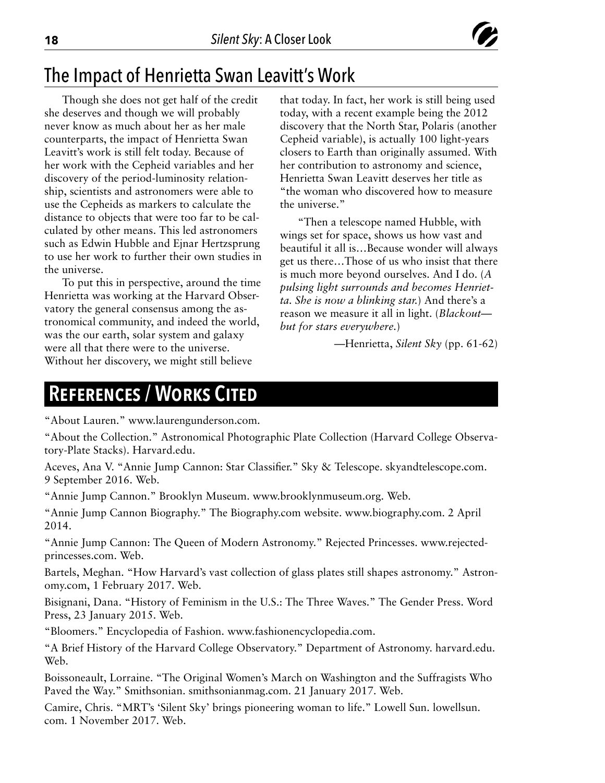

#### The Impact of Henrietta Swan Leavitt's Work

Though she does not get half of the credit she deserves and though we will probably never know as much about her as her male counterparts, the impact of Henrietta Swan Leavitt's work is still felt today. Because of her work with the Cepheid variables and her discovery of the period-luminosity relationship, scientists and astronomers were able to use the Cepheids as markers to calculate the distance to objects that were too far to be calculated by other means. This led astronomers such as Edwin Hubble and Ejnar Hertzsprung to use her work to further their own studies in the universe.

To put this in perspective, around the time Henrietta was working at the Harvard Observatory the general consensus among the astronomical community, and indeed the world, was the our earth, solar system and galaxy were all that there were to the universe. Without her discovery, we might still believe

that today. In fact, her work is still being used today, with a recent example being the 2012 discovery that the North Star, Polaris (another Cepheid variable), is actually 100 light-years closers to Earth than originally assumed. With her contribution to astronomy and science, Henrietta Swan Leavitt deserves her title as "the woman who discovered how to measure the universe."

"Then a telescope named Hubble, with wings set for space, shows us how vast and beautiful it all is…Because wonder will always get us there…Those of us who insist that there is much more beyond ourselves. And I do. (*A pulsing light surrounds and becomes Henrietta. She is now a blinking star.*) And there's a reason we measure it all in light. (*Blackout but for stars everywhere.*)

—Henrietta, *Silent Sky* (pp. 61-62)

#### **References / Works Cited**

"About Lauren." www.laurengunderson.com.

"About the Collection." Astronomical Photographic Plate Collection (Harvard College Observatory-Plate Stacks). Harvard.edu.

Aceves, Ana V. "Annie Jump Cannon: Star Classifier." Sky & Telescope. skyandtelescope.com. 9 September 2016. Web.

"Annie Jump Cannon." Brooklyn Museum. www.brooklynmuseum.org. Web.

"Annie Jump Cannon Biography." The Biography.com website. www.biography.com. 2 April 2014.

"Annie Jump Cannon: The Queen of Modern Astronomy." Rejected Princesses. www.rejectedprincesses.com. Web.

Bartels, Meghan. "How Harvard's vast collection of glass plates still shapes astronomy." Astronomy.com, 1 February 2017. Web.

Bisignani, Dana. "History of Feminism in the U.S.: The Three Waves." The Gender Press. Word Press, 23 January 2015. Web.

"Bloomers." Encyclopedia of Fashion. www.fashionencyclopedia.com.

"A Brief History of the Harvard College Observatory." Department of Astronomy. harvard.edu. Web.

Boissoneault, Lorraine. "The Original Women's March on Washington and the Suffragists Who Paved the Way." Smithsonian. smithsonianmag.com. 21 January 2017. Web.

Camire, Chris. "MRT's 'Silent Sky' brings pioneering woman to life." Lowell Sun. lowellsun. com. 1 November 2017. Web.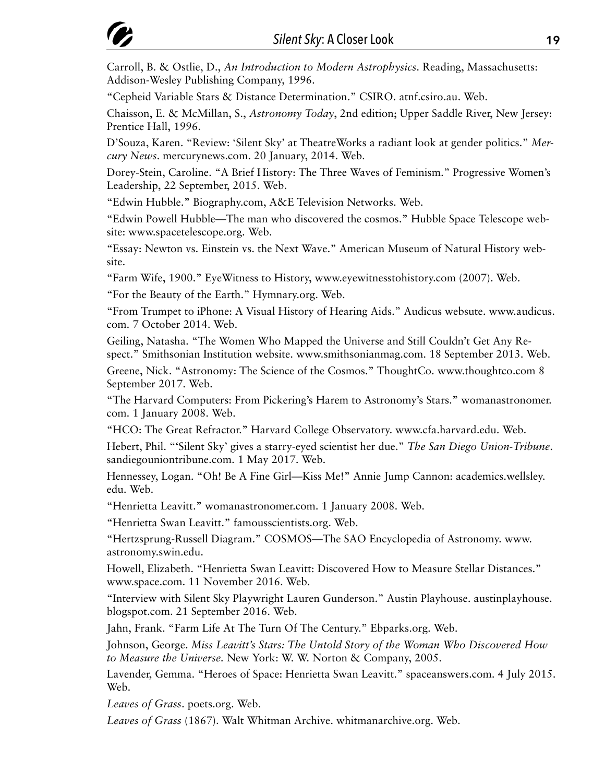Carroll, B. & Ostlie, D., *An Introduction to Modern Astrophysics*. Reading, Massachusetts: Addison-Wesley Publishing Company, 1996.

"Cepheid Variable Stars & Distance Determination." CSIRO. atnf.csiro.au. Web.

Chaisson, E. & McMillan, S., *Astronomy Today*, 2nd edition; Upper Saddle River, New Jersey: Prentice Hall, 1996.

D'Souza, Karen. "Review: 'Silent Sky' at TheatreWorks a radiant look at gender politics." *Mercury News*. mercurynews.com. 20 January, 2014. Web.

Dorey-Stein, Caroline. "A Brief History: The Three Waves of Feminism." Progressive Women's Leadership, 22 September, 2015. Web.

"Edwin Hubble." Biography.com, A&E Television Networks. Web.

"Edwin Powell Hubble—The man who discovered the cosmos." Hubble Space Telescope website: www.spacetelescope.org. Web.

"Essay: Newton vs. Einstein vs. the Next Wave." American Museum of Natural History website.

"Farm Wife, 1900." EyeWitness to History, www.eyewitnesstohistory.com (2007). Web.

"For the Beauty of the Earth." Hymnary.org. Web.

"From Trumpet to iPhone: A Visual History of Hearing Aids." Audicus websute. www.audicus. com. 7 October 2014. Web.

Geiling, Natasha. "The Women Who Mapped the Universe and Still Couldn't Get Any Respect." Smithsonian Institution website. www.smithsonianmag.com. 18 September 2013. Web.

Greene, Nick. "Astronomy: The Science of the Cosmos." ThoughtCo. www.thoughtco.com 8 September 2017. Web.

"The Harvard Computers: From Pickering's Harem to Astronomy's Stars." womanastronomer. com. 1 January 2008. Web.

"HCO: The Great Refractor." Harvard College Observatory. www.cfa.harvard.edu. Web.

Hebert, Phil. "'Silent Sky' gives a starry-eyed scientist her due." *The San Diego Union-Tribune*. sandiegouniontribune.com. 1 May 2017. Web.

Hennessey, Logan. "Oh! Be A Fine Girl—Kiss Me!" Annie Jump Cannon: academics.wellsley. edu. Web.

"Henrietta Leavitt." womanastronomer.com. 1 January 2008. Web.

"Henrietta Swan Leavitt." famousscientists.org. Web.

"Hertzsprung-Russell Diagram." COSMOS—The SAO Encyclopedia of Astronomy. www. astronomy.swin.edu.

Howell, Elizabeth. "Henrietta Swan Leavitt: Discovered How to Measure Stellar Distances." www.space.com. 11 November 2016. Web.

"Interview with Silent Sky Playwright Lauren Gunderson." Austin Playhouse. austinplayhouse. blogspot.com. 21 September 2016. Web.

Jahn, Frank. "Farm Life At The Turn Of The Century." Ebparks.org. Web.

Johnson, George. *Miss Leavitt's Stars: The Untold Story of the Woman Who Discovered How to Measure the Universe.* New York: W. W. Norton & Company, 2005.

Lavender, Gemma. "Heroes of Space: Henrietta Swan Leavitt." spaceanswers.com. 4 July 2015. Web.

*Leaves of Grass*. poets.org. Web.

*Leaves of Grass* (1867). Walt Whitman Archive. whitmanarchive.org. Web.